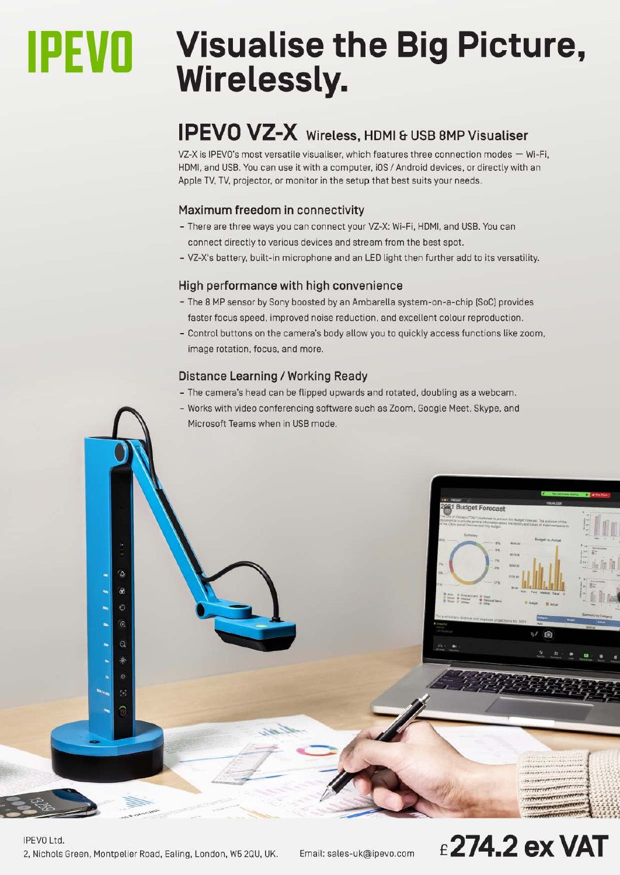# **IPEVO** Visualise the Big Picture,<br>Wirelessly.

### **IPEVO VZ-X** Wireless, HDMI & USB 8MP Visualiser

VZ-X is IPEVO's most versatile visualiser, which features three connection modes  $-$  Wi-Fi, HDMI, and USB. You can use it with a computer. iOS / Android devices. or directly with an Apple TV. TV. projector. or monitor in the setup that best suits your needs.

#### **Maximum freedom in connectivity**

- There are three ways you can connect your VZ-X: Wi-Fi, HDMI. and USB. You can connect directly to various devices and stream from the best spot.
- VZ-X's battery, built-in microphone and an LED light then further add to its versatility.

#### **High performance with high convenience**

- The 8 MP sensor by Sony boosted by an Ambarella system-on-a-chip [SoC] provides faster focus speed, improved noise reduction, and excellent colour reproduction.
- Control buttons on the camera's body allow you to quickly access functions like zoom. image rotation. focus. and more.

#### **Distance Learning/ Working Ready**

- The camera's head can be flipped upwards and rotated, doubling as a webcam.
- Works with video conferencing software such as Zoom. Google Meet. Skype, and Microsoft Teams when in USB mode.



#### IPEVO Ltd. 2, Nichols Green, Montpelier Road. Ealing, London, W5 2QU, UK. Email: [sales-uk@ipevo.com](mailto:sales-uk@ipevo.com) **£274.2exVAT**